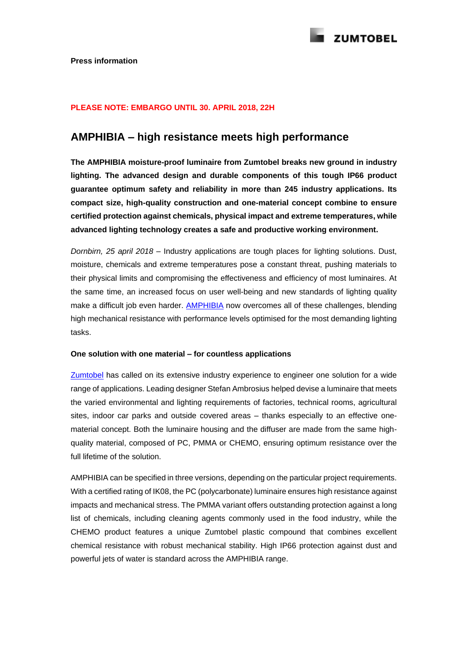

# **PLEASE NOTE: EMBARGO UNTIL 30. APRIL 2018, 22H**

# **AMPHIBIA – high resistance meets high performance**

**The AMPHIBIA moisture-proof luminaire from Zumtobel breaks new ground in industry lighting. The advanced design and durable components of this tough IP66 product guarantee optimum safety and reliability in more than 245 industry applications. Its compact size, high-quality construction and one-material concept combine to ensure certified protection against chemicals, physical impact and extreme temperatures, while advanced lighting technology creates a safe and productive working environment.** 

*Dornbirn, 25 april 2018 –* Industry applications are tough places for lighting solutions. Dust, moisture, chemicals and extreme temperatures pose a constant threat, pushing materials to their physical limits and compromising the effectiveness and efficiency of most luminaires. At the same time, an increased focus on user well-being and new standards of lighting quality make a difficult job even harder. [AMPHIBIA](http://www.zumtobel.com/com-en/products/amphibia.html) now overcomes all of these challenges, blending high mechanical resistance with performance levels optimised for the most demanding lighting tasks.

# **One solution with one material – for countless applications**

[Zumtobel](http://www.zumtobel.com/) has called on its extensive industry experience to engineer one solution for a wide range of applications. Leading designer Stefan Ambrosius helped devise a luminaire that meets the varied environmental and lighting requirements of factories, technical rooms, agricultural sites, indoor car parks and outside covered areas – thanks especially to an effective onematerial concept. Both the luminaire housing and the diffuser are made from the same highquality material, composed of PC, PMMA or CHEMO, ensuring optimum resistance over the full lifetime of the solution.

AMPHIBIA can be specified in three versions, depending on the particular project requirements. With a certified rating of IK08, the PC (polycarbonate) luminaire ensures high resistance against impacts and mechanical stress. The PMMA variant offers outstanding protection against a long list of chemicals, including cleaning agents commonly used in the food industry, while the CHEMO product features a unique Zumtobel plastic compound that combines excellent chemical resistance with robust mechanical stability. High IP66 protection against dust and powerful jets of water is standard across the AMPHIBIA range.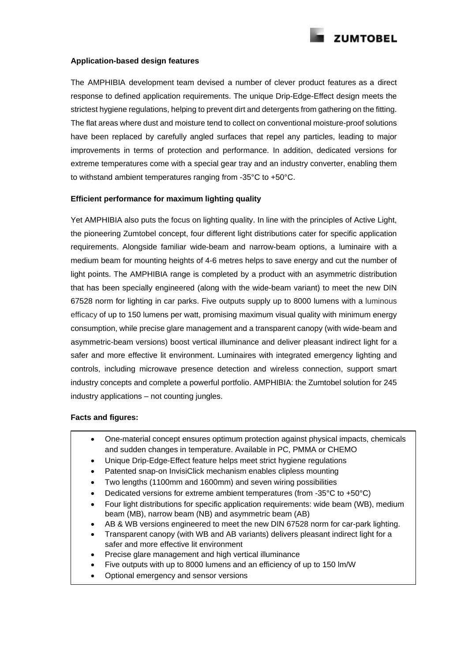**ZUMTOBEL** 

#### **Application-based design features**

The AMPHIBIA development team devised a number of clever product features as a direct response to defined application requirements. The unique Drip-Edge-Effect design meets the strictest hygiene regulations, helping to prevent dirt and detergents from gathering on the fitting. The flat areas where dust and moisture tend to collect on conventional moisture-proof solutions have been replaced by carefully angled surfaces that repel any particles, leading to major improvements in terms of protection and performance. In addition, dedicated versions for extreme temperatures come with a special gear tray and an industry converter, enabling them to withstand ambient temperatures ranging from -35°C to +50°C.

### **Efficient performance for maximum lighting quality**

Yet AMPHIBIA also puts the focus on lighting quality. In line with the principles of Active Light, the pioneering Zumtobel concept, four different light distributions cater for specific application requirements. Alongside familiar wide-beam and narrow-beam options, a luminaire with a medium beam for mounting heights of 4-6 metres helps to save energy and cut the number of light points. The AMPHIBIA range is completed by a product with an asymmetric distribution that has been specially engineered (along with the wide-beam variant) to meet the new DIN 67528 norm for lighting in car parks. Five outputs supply up to 8000 lumens with a luminous efficacy of up to 150 lumens per watt, promising maximum visual quality with minimum energy consumption, while precise glare management and a transparent canopy (with wide-beam and asymmetric-beam versions) boost vertical illuminance and deliver pleasant indirect light for a safer and more effective lit environment. Luminaires with integrated emergency lighting and controls, including microwave presence detection and wireless connection, support smart industry concepts and complete a powerful portfolio. AMPHIBIA: the Zumtobel solution for 245 industry applications – not counting jungles.

## **Facts and figures:**

- One-material concept ensures optimum protection against physical impacts, chemicals and sudden changes in temperature. Available in PC, PMMA or CHEMO
- Unique Drip-Edge-Effect feature helps meet strict hygiene regulations
- Patented snap-on InvisiClick mechanism enables clipless mounting
- Two lengths (1100mm and 1600mm) and seven wiring possibilities
- Dedicated versions for extreme ambient temperatures (from -35°C to +50°C)
- Four light distributions for specific application requirements: wide beam (WB), medium beam (MB), narrow beam (NB) and asymmetric beam (AB)
- AB & WB versions engineered to meet the new DIN 67528 norm for car-park lighting.
- Transparent canopy (with WB and AB variants) delivers pleasant indirect light for a safer and more effective lit environment
- Precise glare management and high vertical illuminance
- Five outputs with up to 8000 lumens and an efficiency of up to 150 lm/W
- Optional emergency and sensor versions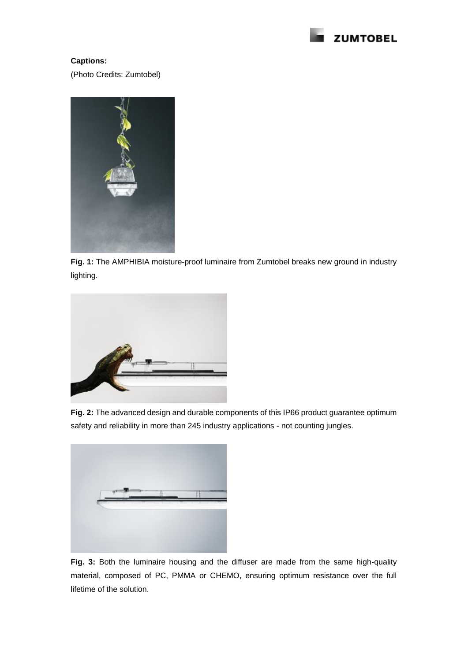

# **Captions:**

(Photo Credits: Zumtobel)



**Fig. 1:** The AMPHIBIA moisture-proof luminaire from Zumtobel breaks new ground in industry lighting.



**Fig. 2:** The advanced design and durable components of this IP66 product guarantee optimum safety and reliability in more than 245 industry applications - not counting jungles.



**Fig. 3:** Both the luminaire housing and the diffuser are made from the same high-quality material, composed of PC, PMMA or CHEMO, ensuring optimum resistance over the full lifetime of the solution.